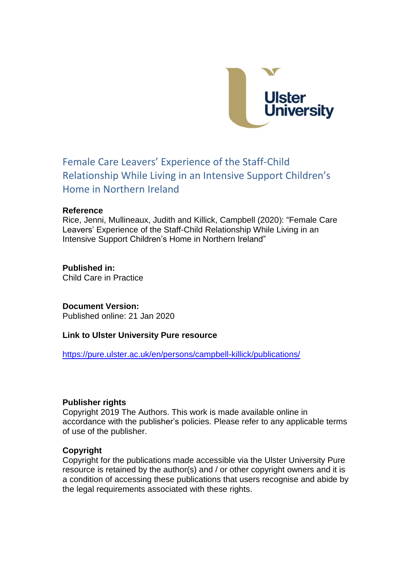

# Female Care Leavers' Experience of the Staff-Child Relationship While Living in an Intensive Support Children's Home in Northern Ireland

#### **Reference**

Rice, Jenni, Mullineaux, Judith and Killick, Campbell (2020): "Female Care Leavers' Experience of the Staff-Child Relationship While Living in an Intensive Support Children's Home in Northern Ireland"

## **Published in:**

Child Care in Practice

### **Document Version:**

Published online: 21 Jan 2020

### **Link to Ulster University Pure resource**

<https://pure.ulster.ac.uk/en/persons/campbell-killick/publications/>

### **Publisher rights**

Copyright 2019 The Authors. This work is made available online in accordance with the publisher's policies. Please refer to any applicable terms of use of the publisher.

### **Copyright**

Copyright for the publications made accessible via the Ulster University Pure resource is retained by the author(s) and / or other copyright owners and it is a condition of accessing these publications that users recognise and abide by the legal requirements associated with these rights.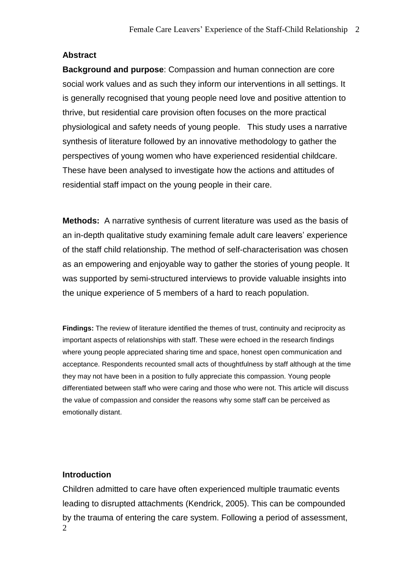## **Abstract**

**Background and purpose**: Compassion and human connection are core social work values and as such they inform our interventions in all settings. It is generally recognised that young people need love and positive attention to thrive, but residential care provision often focuses on the more practical physiological and safety needs of young people. This study uses a narrative synthesis of literature followed by an innovative methodology to gather the perspectives of young women who have experienced residential childcare. These have been analysed to investigate how the actions and attitudes of residential staff impact on the young people in their care.

**Methods:** A narrative synthesis of current literature was used as the basis of an in-depth qualitative study examining female adult care leavers' experience of the staff child relationship. The method of self-characterisation was chosen as an empowering and enjoyable way to gather the stories of young people. It was supported by semi-structured interviews to provide valuable insights into the unique experience of 5 members of a hard to reach population.

**Findings:** The review of literature identified the themes of trust, continuity and reciprocity as important aspects of relationships with staff. These were echoed in the research findings where young people appreciated sharing time and space, honest open communication and acceptance. Respondents recounted small acts of thoughtfulness by staff although at the time they may not have been in a position to fully appreciate this compassion. Young people differentiated between staff who were caring and those who were not. This article will discuss the value of compassion and consider the reasons why some staff can be perceived as emotionally distant.

## **Introduction**

2 Children admitted to care have often experienced multiple traumatic events leading to disrupted attachments (Kendrick, 2005). This can be compounded by the trauma of entering the care system. Following a period of assessment,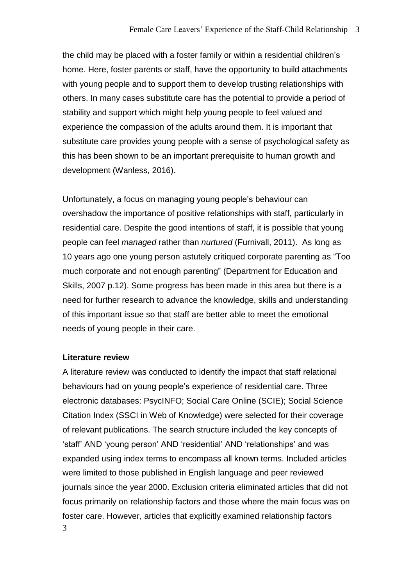the child may be placed with a foster family or within a residential children's home. Here, foster parents or staff, have the opportunity to build attachments with young people and to support them to develop trusting relationships with others. In many cases substitute care has the potential to provide a period of stability and support which might help young people to feel valued and experience the compassion of the adults around them. It is important that substitute care provides young people with a sense of psychological safety as this has been shown to be an important prerequisite to human growth and development (Wanless, 2016).

Unfortunately, a focus on managing young people's behaviour can overshadow the importance of positive relationships with staff, particularly in residential care. Despite the good intentions of staff, it is possible that young people can feel *managed* rather than *nurtured* (Furnivall, 2011). As long as 10 years ago one young person astutely critiqued corporate parenting as "Too much corporate and not enough parenting" (Department for Education and Skills, 2007 p.12). Some progress has been made in this area but there is a need for further research to advance the knowledge, skills and understanding of this important issue so that staff are better able to meet the emotional needs of young people in their care.

#### **Literature review**

3 A literature review was conducted to identify the impact that staff relational behaviours had on young people's experience of residential care. Three electronic databases: PsycINFO; Social Care Online (SCIE); Social Science Citation Index (SSCI in Web of Knowledge) were selected for their coverage of relevant publications. The search structure included the key concepts of 'staff' AND 'young person' AND 'residential' AND 'relationships' and was expanded using index terms to encompass all known terms. Included articles were limited to those published in English language and peer reviewed journals since the year 2000. Exclusion criteria eliminated articles that did not focus primarily on relationship factors and those where the main focus was on foster care. However, articles that explicitly examined relationship factors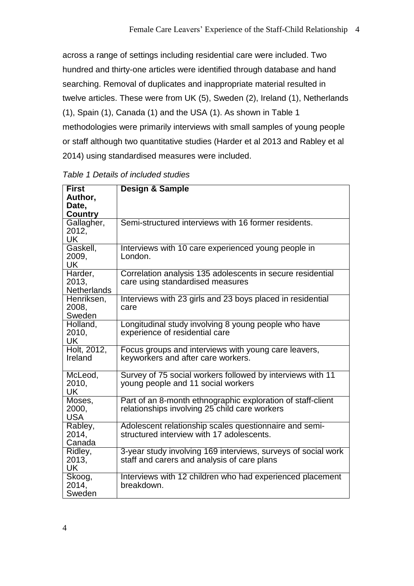across a range of settings including residential care were included. Two hundred and thirty-one articles were identified through database and hand searching. Removal of duplicates and inappropriate material resulted in twelve articles. These were from UK (5), Sweden (2), Ireland (1), Netherlands (1), Spain (1), Canada (1) and the USA (1). As shown in Table 1 methodologies were primarily interviews with small samples of young people or staff although two quantitative studies (Harder et al 2013 and Rabley et al 2014) using standardised measures were included.

| <b>First</b><br>Author,<br>Date,<br><b>Country</b> | <b>Design &amp; Sample</b>                                                                                   |  |  |
|----------------------------------------------------|--------------------------------------------------------------------------------------------------------------|--|--|
| Gallagher,<br>2012,<br>UK                          | Semi-structured interviews with 16 former residents.                                                         |  |  |
| Gaskell,<br>2009,<br><b>UK</b>                     | Interviews with 10 care experienced young people in<br>London.                                               |  |  |
| Harder,<br>2013,<br><b>Netherlands</b>             | Correlation analysis 135 adolescents in secure residential<br>care using standardised measures               |  |  |
| Henriksen,<br>2008,<br>Sweden                      | Interviews with 23 girls and 23 boys placed in residential<br>care                                           |  |  |
| Holland,<br>2010,<br><b>UK</b>                     | Longitudinal study involving 8 young people who have<br>experience of residential care                       |  |  |
| Holt, 2012,<br>Ireland                             | Focus groups and interviews with young care leavers,<br>keyworkers and after care workers.                   |  |  |
| McLeod,<br>2010,<br><b>UK</b>                      | Survey of 75 social workers followed by interviews with 11<br>young people and 11 social workers             |  |  |
| Moses,<br>2000,<br><b>USA</b>                      | Part of an 8-month ethnographic exploration of staff-client<br>relationships involving 25 child care workers |  |  |
| Rabley,<br>2014,<br>Canada                         | Adolescent relationship scales questionnaire and semi-<br>structured interview with 17 adolescents.          |  |  |
| Ridley,<br>2013,<br>UK                             | 3-year study involving 169 interviews, surveys of social work<br>staff and carers and analysis of care plans |  |  |
| Skoog,<br>2014,<br>Sweden                          | Interviews with 12 children who had experienced placement<br>breakdown.                                      |  |  |

*Table 1 Details of included studies*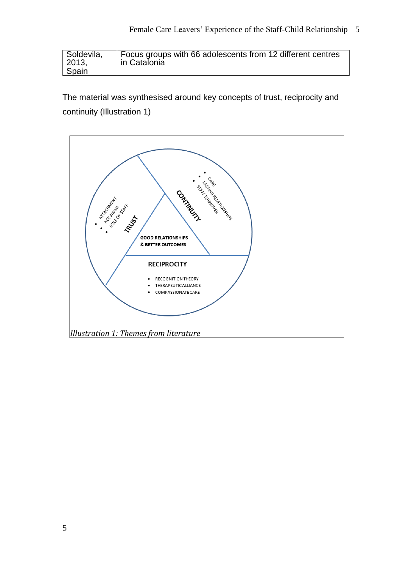| Soldevila, | Focus groups with 66 adolescents from 12 different centres |
|------------|------------------------------------------------------------|
| 2013.      | in Catalonia                                               |
| Spain      |                                                            |

The material was synthesised around key concepts of trust, reciprocity and continuity (Illustration 1)

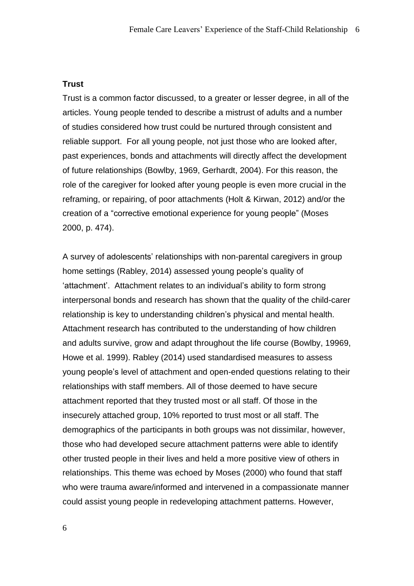### **Trust**

Trust is a common factor discussed, to a greater or lesser degree, in all of the articles. Young people tended to describe a mistrust of adults and a number of studies considered how trust could be nurtured through consistent and reliable support. For all young people, not just those who are looked after, past experiences, bonds and attachments will directly affect the development of future relationships (Bowlby, 1969, Gerhardt, 2004). For this reason, the role of the caregiver for looked after young people is even more crucial in the reframing, or repairing, of poor attachments (Holt & Kirwan, 2012) and/or the creation of a "corrective emotional experience for young people" (Moses 2000, p. 474).

A survey of adolescents' relationships with non-parental caregivers in group home settings (Rabley, 2014) assessed young people's quality of 'attachment'. Attachment relates to an individual's ability to form strong interpersonal bonds and research has shown that the quality of the child-carer relationship is key to understanding children's physical and mental health. Attachment research has contributed to the understanding of how children and adults survive, grow and adapt throughout the life course (Bowlby, 19969, Howe et al. 1999). Rabley (2014) used standardised measures to assess young people's level of attachment and open-ended questions relating to their relationships with staff members. All of those deemed to have secure attachment reported that they trusted most or all staff. Of those in the insecurely attached group, 10% reported to trust most or all staff. The demographics of the participants in both groups was not dissimilar, however, those who had developed secure attachment patterns were able to identify other trusted people in their lives and held a more positive view of others in relationships. This theme was echoed by Moses (2000) who found that staff who were trauma aware/informed and intervened in a compassionate manner could assist young people in redeveloping attachment patterns. However,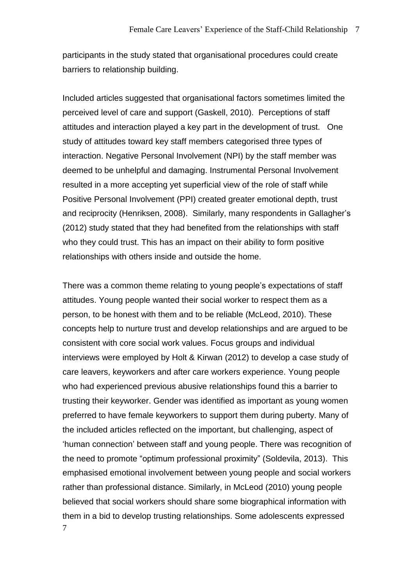participants in the study stated that organisational procedures could create barriers to relationship building.

Included articles suggested that organisational factors sometimes limited the perceived level of care and support (Gaskell, 2010). Perceptions of staff attitudes and interaction played a key part in the development of trust. One study of attitudes toward key staff members categorised three types of interaction. Negative Personal Involvement (NPI) by the staff member was deemed to be unhelpful and damaging. Instrumental Personal Involvement resulted in a more accepting yet superficial view of the role of staff while Positive Personal Involvement (PPI) created greater emotional depth, trust and reciprocity (Henriksen, 2008). Similarly, many respondents in Gallagher's (2012) study stated that they had benefited from the relationships with staff who they could trust. This has an impact on their ability to form positive relationships with others inside and outside the home.

7 There was a common theme relating to young people's expectations of staff attitudes. Young people wanted their social worker to respect them as a person, to be honest with them and to be reliable (McLeod, 2010). These concepts help to nurture trust and develop relationships and are argued to be consistent with core social work values. Focus groups and individual interviews were employed by Holt & Kirwan (2012) to develop a case study of care leavers, keyworkers and after care workers experience. Young people who had experienced previous abusive relationships found this a barrier to trusting their keyworker. Gender was identified as important as young women preferred to have female keyworkers to support them during puberty. Many of the included articles reflected on the important, but challenging, aspect of 'human connection' between staff and young people. There was recognition of the need to promote "optimum professional proximity" (Soldevila, 2013). This emphasised emotional involvement between young people and social workers rather than professional distance. Similarly, in McLeod (2010) young people believed that social workers should share some biographical information with them in a bid to develop trusting relationships. Some adolescents expressed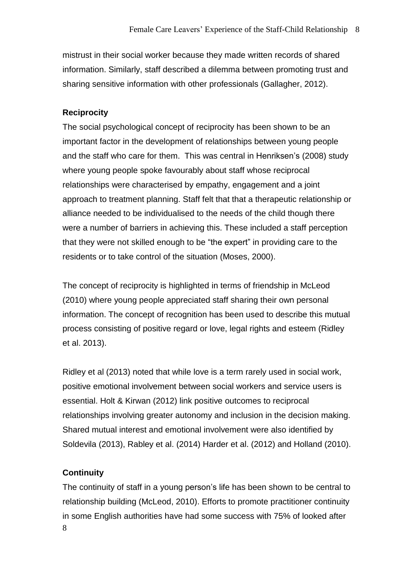mistrust in their social worker because they made written records of shared information. Similarly, staff described a dilemma between promoting trust and sharing sensitive information with other professionals (Gallagher, 2012).

### **Reciprocity**

The social psychological concept of reciprocity has been shown to be an important factor in the development of relationships between young people and the staff who care for them. This was central in Henriksen's (2008) study where young people spoke favourably about staff whose reciprocal relationships were characterised by empathy, engagement and a joint approach to treatment planning. Staff felt that that a therapeutic relationship or alliance needed to be individualised to the needs of the child though there were a number of barriers in achieving this. These included a staff perception that they were not skilled enough to be "the expert" in providing care to the residents or to take control of the situation (Moses, 2000).

The concept of reciprocity is highlighted in terms of friendship in McLeod (2010) where young people appreciated staff sharing their own personal information. The concept of recognition has been used to describe this mutual process consisting of positive regard or love, legal rights and esteem (Ridley et al. 2013).

Ridley et al (2013) noted that while love is a term rarely used in social work, positive emotional involvement between social workers and service users is essential. Holt & Kirwan (2012) link positive outcomes to reciprocal relationships involving greater autonomy and inclusion in the decision making. Shared mutual interest and emotional involvement were also identified by Soldevila (2013), Rabley et al. (2014) Harder et al. (2012) and Holland (2010).

### **Continuity**

8 The continuity of staff in a young person's life has been shown to be central to relationship building (McLeod, 2010). Efforts to promote practitioner continuity in some English authorities have had some success with 75% of looked after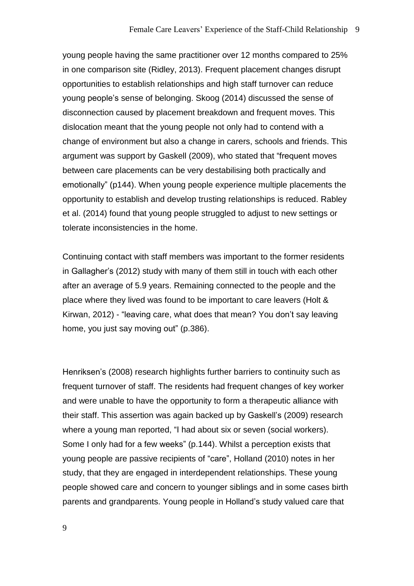young people having the same practitioner over 12 months compared to 25% in one comparison site (Ridley, 2013). Frequent placement changes disrupt opportunities to establish relationships and high staff turnover can reduce young people's sense of belonging. Skoog (2014) discussed the sense of disconnection caused by placement breakdown and frequent moves. This dislocation meant that the young people not only had to contend with a change of environment but also a change in carers, schools and friends. This argument was support by Gaskell (2009), who stated that "frequent moves between care placements can be very destabilising both practically and emotionally" (p144). When young people experience multiple placements the opportunity to establish and develop trusting relationships is reduced. Rabley et al. (2014) found that young people struggled to adjust to new settings or tolerate inconsistencies in the home.

Continuing contact with staff members was important to the former residents in Gallagher's (2012) study with many of them still in touch with each other after an average of 5.9 years. Remaining connected to the people and the place where they lived was found to be important to care leavers (Holt & Kirwan, 2012) - "leaving care, what does that mean? You don't say leaving home, you just say moving out" (p.386).

Henriksen's (2008) research highlights further barriers to continuity such as frequent turnover of staff. The residents had frequent changes of key worker and were unable to have the opportunity to form a therapeutic alliance with their staff. This assertion was again backed up by Gaskell's (2009) research where a young man reported, "I had about six or seven (social workers). Some I only had for a few weeks" (p.144). Whilst a perception exists that young people are passive recipients of "care", Holland (2010) notes in her study, that they are engaged in interdependent relationships. These young people showed care and concern to younger siblings and in some cases birth parents and grandparents. Young people in Holland's study valued care that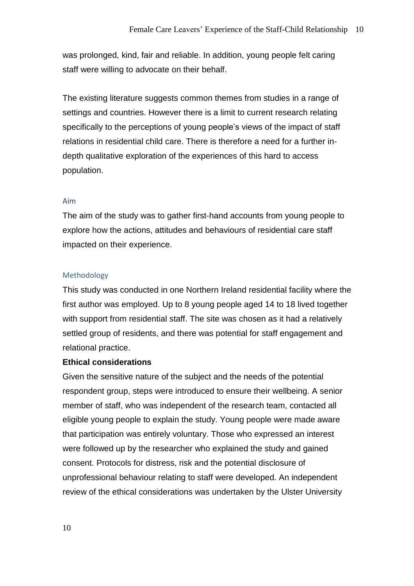was prolonged, kind, fair and reliable. In addition, young people felt caring staff were willing to advocate on their behalf.

The existing literature suggests common themes from studies in a range of settings and countries. However there is a limit to current research relating specifically to the perceptions of young people's views of the impact of staff relations in residential child care. There is therefore a need for a further indepth qualitative exploration of the experiences of this hard to access population.

#### Aim

The aim of the study was to gather first-hand accounts from young people to explore how the actions, attitudes and behaviours of residential care staff impacted on their experience.

### Methodology

This study was conducted in one Northern Ireland residential facility where the first author was employed. Up to 8 young people aged 14 to 18 lived together with support from residential staff. The site was chosen as it had a relatively settled group of residents, and there was potential for staff engagement and relational practice.

### **Ethical considerations**

Given the sensitive nature of the subject and the needs of the potential respondent group, steps were introduced to ensure their wellbeing. A senior member of staff, who was independent of the research team, contacted all eligible young people to explain the study. Young people were made aware that participation was entirely voluntary. Those who expressed an interest were followed up by the researcher who explained the study and gained consent. Protocols for distress, risk and the potential disclosure of unprofessional behaviour relating to staff were developed. An independent review of the ethical considerations was undertaken by the Ulster University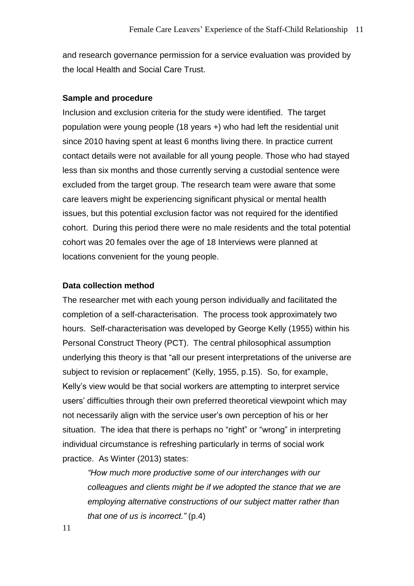and research governance permission for a service evaluation was provided by the local Health and Social Care Trust.

#### **Sample and procedure**

Inclusion and exclusion criteria for the study were identified. The target population were young people (18 years +) who had left the residential unit since 2010 having spent at least 6 months living there. In practice current contact details were not available for all young people. Those who had stayed less than six months and those currently serving a custodial sentence were excluded from the target group. The research team were aware that some care leavers might be experiencing significant physical or mental health issues, but this potential exclusion factor was not required for the identified cohort. During this period there were no male residents and the total potential cohort was 20 females over the age of 18 Interviews were planned at locations convenient for the young people.

#### **Data collection method**

The researcher met with each young person individually and facilitated the completion of a self-characterisation. The process took approximately two hours. Self-characterisation was developed by George Kelly (1955) within his Personal Construct Theory (PCT). The central philosophical assumption underlying this theory is that "all our present interpretations of the universe are subject to revision or replacement" (Kelly, 1955, p.15). So, for example, Kelly's view would be that social workers are attempting to interpret service users' difficulties through their own preferred theoretical viewpoint which may not necessarily align with the service user's own perception of his or her situation. The idea that there is perhaps no "right" or "wrong" in interpreting individual circumstance is refreshing particularly in terms of social work practice. As Winter (2013) states:

*"How much more productive some of our interchanges with our colleagues and clients might be if we adopted the stance that we are employing alternative constructions of our subject matter rather than that one of us is incorrect."* (p.4)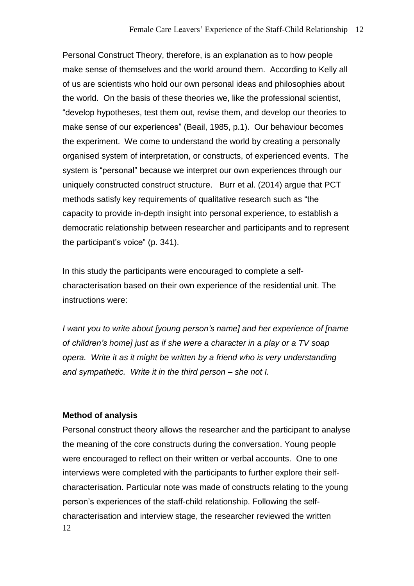Personal Construct Theory, therefore, is an explanation as to how people make sense of themselves and the world around them. According to Kelly all of us are scientists who hold our own personal ideas and philosophies about the world. On the basis of these theories we, like the professional scientist, "develop hypotheses, test them out, revise them, and develop our theories to make sense of our experiences" (Beail, 1985, p.1). Our behaviour becomes the experiment. We come to understand the world by creating a personally organised system of interpretation, or constructs, of experienced events. The system is "personal" because we interpret our own experiences through our uniquely constructed construct structure. Burr et al. (2014) argue that PCT methods satisfy key requirements of qualitative research such as "the capacity to provide in-depth insight into personal experience, to establish a democratic relationship between researcher and participants and to represent the participant's voice" (p. 341).

In this study the participants were encouraged to complete a selfcharacterisation based on their own experience of the residential unit. The instructions were:

*I want you to write about [young person's name] and her experience of [name of children's home] just as if she were a character in a play or a TV soap opera. Write it as it might be written by a friend who is very understanding and sympathetic. Write it in the third person – she not I.*

### **Method of analysis**

12 Personal construct theory allows the researcher and the participant to analyse the meaning of the core constructs during the conversation. Young people were encouraged to reflect on their written or verbal accounts. One to one interviews were completed with the participants to further explore their selfcharacterisation. Particular note was made of constructs relating to the young person's experiences of the staff-child relationship. Following the selfcharacterisation and interview stage, the researcher reviewed the written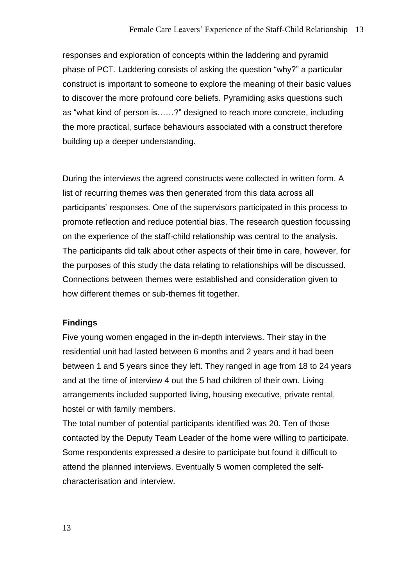responses and exploration of concepts within the laddering and pyramid phase of PCT. Laddering consists of asking the question "why?" a particular construct is important to someone to explore the meaning of their basic values to discover the more profound core beliefs. Pyramiding asks questions such as "what kind of person is……?" designed to reach more concrete, including the more practical, surface behaviours associated with a construct therefore building up a deeper understanding.

During the interviews the agreed constructs were collected in written form. A list of recurring themes was then generated from this data across all participants' responses. One of the supervisors participated in this process to promote reflection and reduce potential bias. The research question focussing on the experience of the staff-child relationship was central to the analysis. The participants did talk about other aspects of their time in care, however, for the purposes of this study the data relating to relationships will be discussed. Connections between themes were established and consideration given to how different themes or sub-themes fit together.

### **Findings**

Five young women engaged in the in-depth interviews. Their stay in the residential unit had lasted between 6 months and 2 years and it had been between 1 and 5 years since they left. They ranged in age from 18 to 24 years and at the time of interview 4 out the 5 had children of their own. Living arrangements included supported living, housing executive, private rental, hostel or with family members.

The total number of potential participants identified was 20. Ten of those contacted by the Deputy Team Leader of the home were willing to participate. Some respondents expressed a desire to participate but found it difficult to attend the planned interviews. Eventually 5 women completed the selfcharacterisation and interview.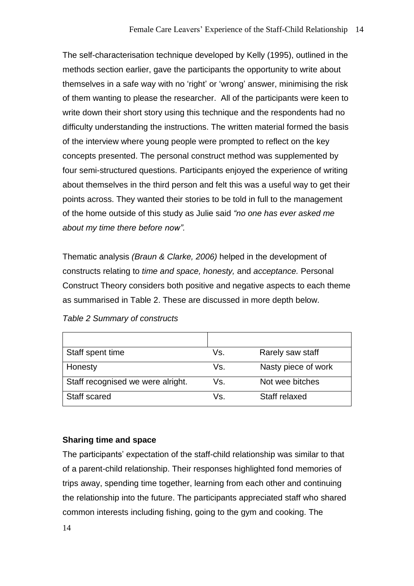The self-characterisation technique developed by Kelly (1995), outlined in the methods section earlier, gave the participants the opportunity to write about themselves in a safe way with no 'right' or 'wrong' answer, minimising the risk of them wanting to please the researcher. All of the participants were keen to write down their short story using this technique and the respondents had no difficulty understanding the instructions. The written material formed the basis of the interview where young people were prompted to reflect on the key concepts presented. The personal construct method was supplemented by four semi-structured questions. Participants enjoyed the experience of writing about themselves in the third person and felt this was a useful way to get their points across. They wanted their stories to be told in full to the management of the home outside of this study as Julie said *"no one has ever asked me about my time there before now".*

Thematic analysis *(Braun & Clarke, 2006)* helped in the development of constructs relating to *time and space, honesty,* and *acceptance.* Personal Construct Theory considers both positive and negative aspects to each theme as summarised in Table 2. These are discussed in more depth below.

| Staff spent time                  | Vs. | Rarely saw staff    |
|-----------------------------------|-----|---------------------|
| Honesty                           | Vs. | Nasty piece of work |
| Staff recognised we were alright. | Vs. | Not wee bitches     |
| <b>Staff scared</b>               | Vs. | Staff relaxed       |

*Table 2 Summary of constructs*

## **Sharing time and space**

The participants' expectation of the staff-child relationship was similar to that of a parent-child relationship. Their responses highlighted fond memories of trips away, spending time together, learning from each other and continuing the relationship into the future. The participants appreciated staff who shared common interests including fishing, going to the gym and cooking. The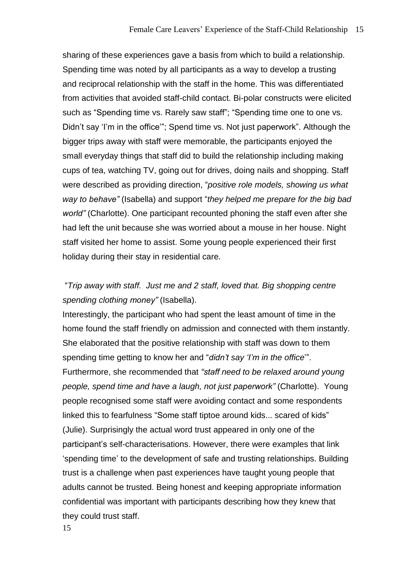sharing of these experiences gave a basis from which to build a relationship. Spending time was noted by all participants as a way to develop a trusting and reciprocal relationship with the staff in the home. This was differentiated from activities that avoided staff-child contact. Bi-polar constructs were elicited such as "Spending time vs. Rarely saw staff"; "Spending time one to one vs. Didn't say 'I'm in the office'"; Spend time vs. Not just paperwork". Although the bigger trips away with staff were memorable, the participants enjoyed the small everyday things that staff did to build the relationship including making cups of tea, watching TV, going out for drives, doing nails and shopping. Staff were described as providing direction, "*positive role models, showing us what way to behave"* (Isabella) and support "*they helped me prepare for the big bad world"* (Charlotte). One participant recounted phoning the staff even after she had left the unit because she was worried about a mouse in her house. Night staff visited her home to assist. Some young people experienced their first holiday during their stay in residential care.

# "*Trip away with staff. Just me and 2 staff, loved that. Big shopping centre spending clothing money"* (Isabella).

Interestingly, the participant who had spent the least amount of time in the home found the staff friendly on admission and connected with them instantly. She elaborated that the positive relationship with staff was down to them spending time getting to know her and "*didn't say 'I'm in the office*'". Furthermore, she recommended that *"staff need to be relaxed around young people, spend time and have a laugh, not just paperwork"* (Charlotte). Young people recognised some staff were avoiding contact and some respondents linked this to fearfulness "Some staff tiptoe around kids... scared of kids" (Julie). Surprisingly the actual word trust appeared in only one of the participant's self-characterisations. However, there were examples that link 'spending time' to the development of safe and trusting relationships. Building trust is a challenge when past experiences have taught young people that adults cannot be trusted. Being honest and keeping appropriate information confidential was important with participants describing how they knew that they could trust staff.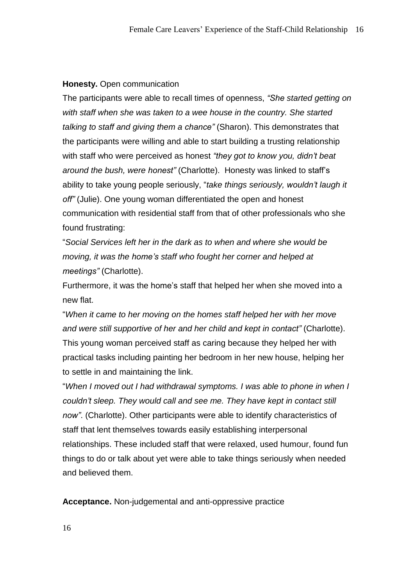### **Honesty.** Open communication

The participants were able to recall times of openness, *"She started getting on with staff when she was taken to a wee house in the country. She started talking to staff and giving them a chance"* (Sharon). This demonstrates that the participants were willing and able to start building a trusting relationship with staff who were perceived as honest *"they got to know you, didn't beat around the bush, were honest"* (Charlotte). Honesty was linked to staff's ability to take young people seriously, "*take things seriously, wouldn't laugh it off"* (Julie). One young woman differentiated the open and honest communication with residential staff from that of other professionals who she found frustrating:

"*Social Services left her in the dark as to when and where she would be moving, it was the home's staff who fought her corner and helped at meetings"* (Charlotte).

Furthermore, it was the home's staff that helped her when she moved into a new flat.

"*When it came to her moving on the homes staff helped her with her move and were still supportive of her and her child and kept in contact"* (Charlotte). This young woman perceived staff as caring because they helped her with practical tasks including painting her bedroom in her new house, helping her to settle in and maintaining the link.

"*When I moved out I had withdrawal symptoms. I was able to phone in when I couldn't sleep. They would call and see me. They have kept in contact still now"*. (Charlotte). Other participants were able to identify characteristics of staff that lent themselves towards easily establishing interpersonal relationships. These included staff that were relaxed, used humour, found fun things to do or talk about yet were able to take things seriously when needed and believed them.

**Acceptance.** Non-judgemental and anti-oppressive practice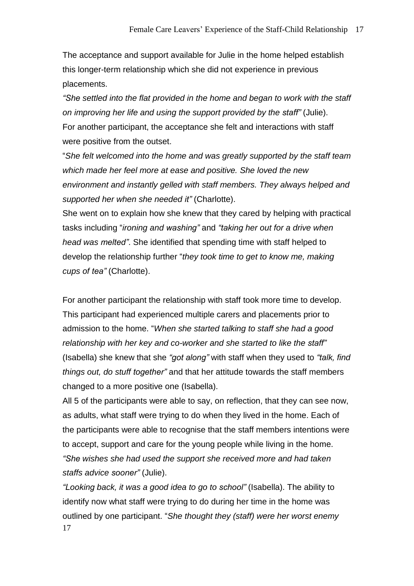The acceptance and support available for Julie in the home helped establish this longer-term relationship which she did not experience in previous placements.

*"She settled into the flat provided in the home and began to work with the staff on improving her life and using the support provided by the staff"* (Julie). For another participant, the acceptance she felt and interactions with staff were positive from the outset.

"*She felt welcomed into the home and was greatly supported by the staff team which made her feel more at ease and positive. She loved the new environment and instantly gelled with staff members. They always helped and supported her when she needed it"* (Charlotte).

She went on to explain how she knew that they cared by helping with practical tasks including "*ironing and washing"* and *"taking her out for a drive when head was melted"*. She identified that spending time with staff helped to develop the relationship further "*they took time to get to know me, making cups of tea"* (Charlotte).

For another participant the relationship with staff took more time to develop. This participant had experienced multiple carers and placements prior to admission to the home. "*When she started talking to staff she had a good relationship with her key and co-worker and she started to like the staff"* (Isabella) she knew that she *"got along"* with staff when they used to *"talk, find things out, do stuff together"* and that her attitude towards the staff members changed to a more positive one (Isabella).

All 5 of the participants were able to say, on reflection, that they can see now, as adults, what staff were trying to do when they lived in the home. Each of the participants were able to recognise that the staff members intentions were to accept, support and care for the young people while living in the home. *"She wishes she had used the support she received more and had taken staffs advice sooner"* (Julie).

17 *"Looking back, it was a good idea to go to school"* (Isabella). The ability to identify now what staff were trying to do during her time in the home was outlined by one participant. "*She thought they (staff) were her worst enemy*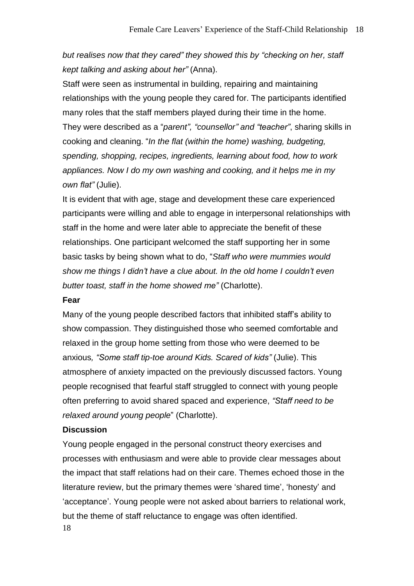# *but realises now that they cared" they showed this by "checking on her, staff kept talking and asking about her"* (Anna).

Staff were seen as instrumental in building, repairing and maintaining relationships with the young people they cared for. The participants identified many roles that the staff members played during their time in the home. They were described as a "*parent", "counsellor" and "teacher"*, sharing skills in cooking and cleaning. "*In the flat (within the home) washing, budgeting, spending, shopping, recipes, ingredients, learning about food, how to work appliances. Now I do my own washing and cooking, and it helps me in my own flat"* (Julie).

It is evident that with age, stage and development these care experienced participants were willing and able to engage in interpersonal relationships with staff in the home and were later able to appreciate the benefit of these relationships. One participant welcomed the staff supporting her in some basic tasks by being shown what to do, "*Staff who were mummies would show me things I didn't have a clue about. In the old home I couldn't even butter toast, staff in the home showed me"* (Charlotte).

### **Fear**

Many of the young people described factors that inhibited staff's ability to show compassion. They distinguished those who seemed comfortable and relaxed in the group home setting from those who were deemed to be anxious*, "Some staff tip-toe around Kids. Scared of kids"* (Julie). This atmosphere of anxiety impacted on the previously discussed factors. Young people recognised that fearful staff struggled to connect with young people often preferring to avoid shared spaced and experience, *"Staff need to be relaxed around young people*" (Charlotte).

### **Discussion**

18 Young people engaged in the personal construct theory exercises and processes with enthusiasm and were able to provide clear messages about the impact that staff relations had on their care. Themes echoed those in the literature review, but the primary themes were 'shared time', 'honesty' and 'acceptance'. Young people were not asked about barriers to relational work, but the theme of staff reluctance to engage was often identified.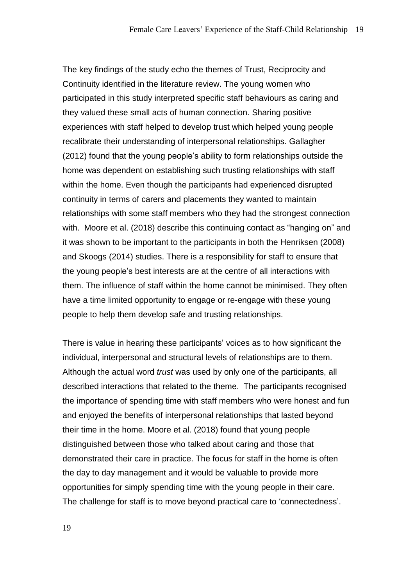The key findings of the study echo the themes of Trust, Reciprocity and Continuity identified in the literature review. The young women who participated in this study interpreted specific staff behaviours as caring and they valued these small acts of human connection. Sharing positive experiences with staff helped to develop trust which helped young people recalibrate their understanding of interpersonal relationships. Gallagher (2012) found that the young people's ability to form relationships outside the home was dependent on establishing such trusting relationships with staff within the home. Even though the participants had experienced disrupted continuity in terms of carers and placements they wanted to maintain relationships with some staff members who they had the strongest connection with. Moore et al. (2018) describe this continuing contact as "hanging on" and it was shown to be important to the participants in both the Henriksen (2008) and Skoogs (2014) studies. There is a responsibility for staff to ensure that the young people's best interests are at the centre of all interactions with them. The influence of staff within the home cannot be minimised. They often have a time limited opportunity to engage or re-engage with these young people to help them develop safe and trusting relationships.

There is value in hearing these participants' voices as to how significant the individual, interpersonal and structural levels of relationships are to them. Although the actual word *trust* was used by only one of the participants, all described interactions that related to the theme. The participants recognised the importance of spending time with staff members who were honest and fun and enjoyed the benefits of interpersonal relationships that lasted beyond their time in the home. Moore et al. (2018) found that young people distinguished between those who talked about caring and those that demonstrated their care in practice. The focus for staff in the home is often the day to day management and it would be valuable to provide more opportunities for simply spending time with the young people in their care. The challenge for staff is to move beyond practical care to 'connectedness'.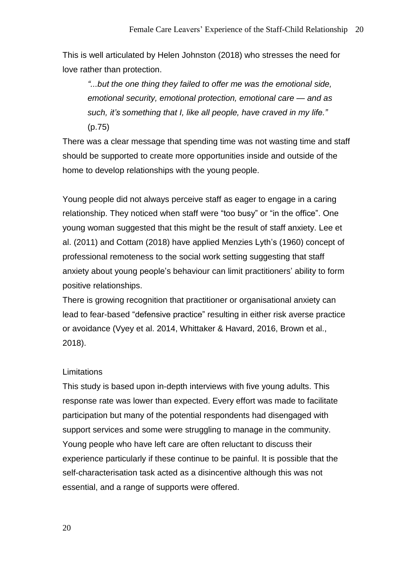This is well articulated by Helen Johnston (2018) who stresses the need for love rather than protection.

*"...but the one thing they failed to offer me was the emotional side, emotional security, emotional protection, emotional care — and as such, it's something that I, like all people, have craved in my life."* (p.75)

There was a clear message that spending time was not wasting time and staff should be supported to create more opportunities inside and outside of the home to develop relationships with the young people.

Young people did not always perceive staff as eager to engage in a caring relationship. They noticed when staff were "too busy" or "in the office". One young woman suggested that this might be the result of staff anxiety. Lee et al. (2011) and Cottam (2018) have applied Menzies Lyth's (1960) concept of professional remoteness to the social work setting suggesting that staff anxiety about young people's behaviour can limit practitioners' ability to form positive relationships.

There is growing recognition that practitioner or organisational anxiety can lead to fear-based "defensive practice" resulting in either risk averse practice or avoidance (Vyey et al. 2014, Whittaker & Havard, 2016, Brown et al., 2018).

### **Limitations**

This study is based upon in-depth interviews with five young adults. This response rate was lower than expected. Every effort was made to facilitate participation but many of the potential respondents had disengaged with support services and some were struggling to manage in the community. Young people who have left care are often reluctant to discuss their experience particularly if these continue to be painful. It is possible that the self-characterisation task acted as a disincentive although this was not essential, and a range of supports were offered.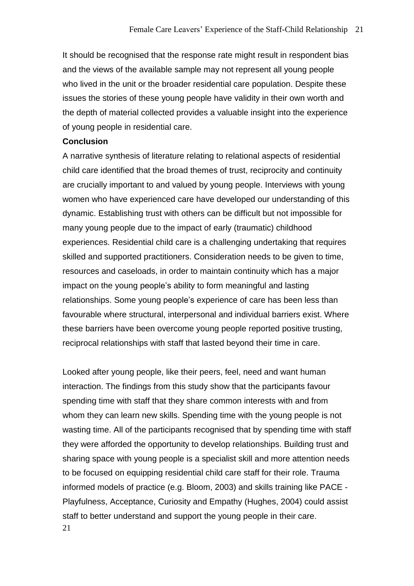It should be recognised that the response rate might result in respondent bias and the views of the available sample may not represent all young people who lived in the unit or the broader residential care population. Despite these issues the stories of these young people have validity in their own worth and the depth of material collected provides a valuable insight into the experience of young people in residential care.

### **Conclusion**

A narrative synthesis of literature relating to relational aspects of residential child care identified that the broad themes of trust, reciprocity and continuity are crucially important to and valued by young people. Interviews with young women who have experienced care have developed our understanding of this dynamic. Establishing trust with others can be difficult but not impossible for many young people due to the impact of early (traumatic) childhood experiences. Residential child care is a challenging undertaking that requires skilled and supported practitioners. Consideration needs to be given to time, resources and caseloads, in order to maintain continuity which has a major impact on the young people's ability to form meaningful and lasting relationships. Some young people's experience of care has been less than favourable where structural, interpersonal and individual barriers exist. Where these barriers have been overcome young people reported positive trusting, reciprocal relationships with staff that lasted beyond their time in care.

21 Looked after young people, like their peers, feel, need and want human interaction. The findings from this study show that the participants favour spending time with staff that they share common interests with and from whom they can learn new skills. Spending time with the young people is not wasting time. All of the participants recognised that by spending time with staff they were afforded the opportunity to develop relationships. Building trust and sharing space with young people is a specialist skill and more attention needs to be focused on equipping residential child care staff for their role. Trauma informed models of practice (e.g. Bloom, 2003) and skills training like PACE - Playfulness, Acceptance, Curiosity and Empathy (Hughes, 2004) could assist staff to better understand and support the young people in their care.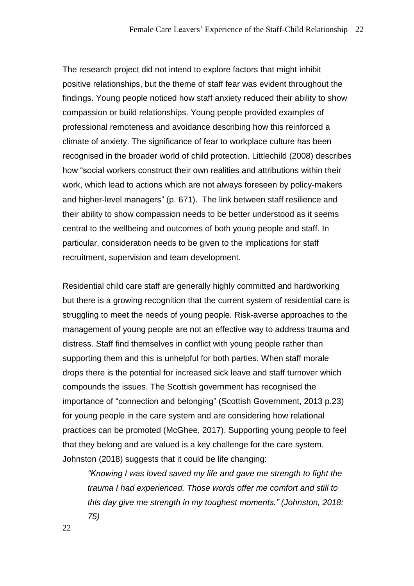The research project did not intend to explore factors that might inhibit positive relationships, but the theme of staff fear was evident throughout the findings. Young people noticed how staff anxiety reduced their ability to show compassion or build relationships. Young people provided examples of professional remoteness and avoidance describing how this reinforced a climate of anxiety. The significance of fear to workplace culture has been recognised in the broader world of child protection. Littlechild (2008) describes how "social workers construct their own realities and attributions within their work, which lead to actions which are not always foreseen by policy-makers and higher‐level managers" (p. 671). The link between staff resilience and their ability to show compassion needs to be better understood as it seems central to the wellbeing and outcomes of both young people and staff. In particular, consideration needs to be given to the implications for staff recruitment, supervision and team development.

Residential child care staff are generally highly committed and hardworking but there is a growing recognition that the current system of residential care is struggling to meet the needs of young people. Risk-averse approaches to the management of young people are not an effective way to address trauma and distress. Staff find themselves in conflict with young people rather than supporting them and this is unhelpful for both parties. When staff morale drops there is the potential for increased sick leave and staff turnover which compounds the issues. The Scottish government has recognised the importance of "connection and belonging" (Scottish Government, 2013 p.23) for young people in the care system and are considering how relational practices can be promoted (McGhee, 2017). Supporting young people to feel that they belong and are valued is a key challenge for the care system. Johnston (2018) suggests that it could be life changing:

*"Knowing I was loved saved my life and gave me strength to fight the trauma I had experienced. Those words offer me comfort and still to this day give me strength in my toughest moments." (Johnston, 2018: 75)*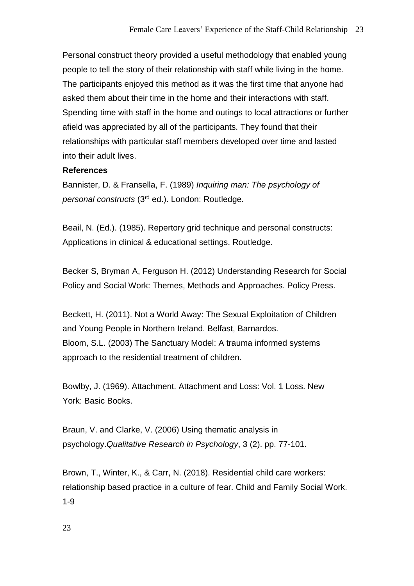Personal construct theory provided a useful methodology that enabled young people to tell the story of their relationship with staff while living in the home. The participants enjoyed this method as it was the first time that anyone had asked them about their time in the home and their interactions with staff. Spending time with staff in the home and outings to local attractions or further afield was appreciated by all of the participants. They found that their relationships with particular staff members developed over time and lasted into their adult lives.

## **References**

Bannister, D. & Fransella, F. (1989) *Inquiring man: The psychology of personal constructs* (3rd ed.). London: Routledge.

Beail, N. (Ed.). (1985). Repertory grid technique and personal constructs: Applications in clinical & educational settings. Routledge.

Becker S, Bryman A, Ferguson H. (2012) Understanding Research for Social Policy and Social Work: Themes, Methods and Approaches. Policy Press.

Beckett, H. (2011). Not a World Away: The Sexual Exploitation of Children and Young People in Northern Ireland. Belfast, Barnardos. Bloom, S.L. (2003) The Sanctuary Model: A trauma informed systems approach to the residential treatment of children.

Bowlby, J. (1969). Attachment. Attachment and Loss: Vol. 1 Loss. New York: Basic Books.

Braun, V. and Clarke, V. (2006) Using thematic analysis in psychology.*Qualitative Research in Psychology*, 3 (2). pp. 77-101.

Brown, T., Winter, K., & Carr, N. (2018). Residential child care workers: relationship based practice in a culture of fear. Child and Family Social Work. 1-9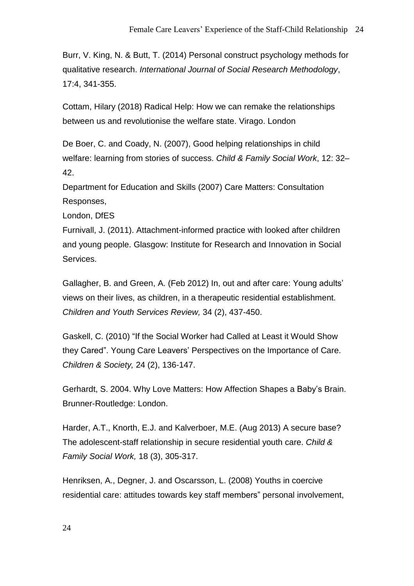Burr, V. King, N. & Butt, T. (2014) Personal construct psychology methods for qualitative research. *International Journal of Social Research Methodology*, 17:4, 341-355.

Cottam, Hilary (2018) Radical Help: How we can remake the relationships between us and revolutionise the welfare state. Virago. London

De Boer, C. and Coady, N. (2007), Good helping relationships in child welfare: learning from stories of success. *Child & Family Social Work*, 12: 32– 42.

Department for Education and Skills (2007) Care Matters: Consultation Responses,

London, DfES

Furnivall, J. (2011). Attachment-informed practice with looked after children and young people. Glasgow: Institute for Research and Innovation in Social Services.

Gallagher, B. and Green, A. (Feb 2012) In, out and after care: Young adults' views on their lives, as children, in a therapeutic residential establishment. *Children and Youth Services Review,* 34 (2), 437-450.

Gaskell, C. (2010) "If the Social Worker had Called at Least it Would Show they Cared". Young Care Leavers' Perspectives on the Importance of Care. *Children & Society,* 24 (2), 136-147.

Gerhardt, S. 2004. Why Love Matters: How Affection Shapes a Baby's Brain. Brunner-Routledge: London.

Harder, A.T., Knorth, E.J. and Kalverboer, M.E. (Aug 2013) A secure base? The adolescent-staff relationship in secure residential youth care. *Child & Family Social Work,* 18 (3), 305-317.

Henriksen, A., Degner, J. and Oscarsson, L. (2008) Youths in coercive residential care: attitudes towards key staff members" personal involvement,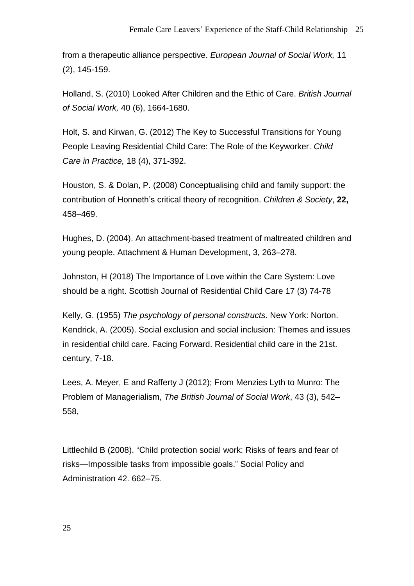from a therapeutic alliance perspective. *European Journal of Social Work,* 11 (2), 145-159.

Holland, S. (2010) Looked After Children and the Ethic of Care. *British Journal of Social Work,* 40 (6), 1664-1680.

Holt, S. and Kirwan, G. (2012) The Key to Successful Transitions for Young People Leaving Residential Child Care: The Role of the Keyworker. *Child Care in Practice,* 18 (4), 371-392.

Houston, S. & Dolan, P. (2008) Conceptualising child and family support: the contribution of Honneth's critical theory of recognition. *Children & Society*, **22,** 458–469.

Hughes, D. (2004). An attachment-based treatment of maltreated children and young people. Attachment & Human Development, 3, 263–278.

Johnston, H (2018) The Importance of Love within the Care System: Love should be a right. Scottish Journal of Residential Child Care 17 (3) 74-78

Kelly, G. (1955) *The psychology of personal constructs*. New York: Norton. Kendrick, A. (2005). Social exclusion and social inclusion: Themes and issues in residential child care. Facing Forward. Residential child care in the 21st. century, 7-18.

Lees, A. Meyer, E and Rafferty J (2012); From Menzies Lyth to Munro: The Problem of Managerialism, *The British Journal of Social Work*, 43 (3), 542– 558,

Littlechild B (2008). "Child protection social work: Risks of fears and fear of risks—Impossible tasks from impossible goals." Social Policy and Administration 42. 662–75.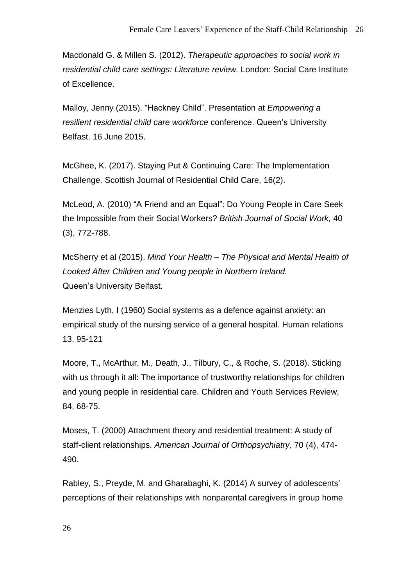Macdonald G. & Millen S. (2012). *Therapeutic approaches to social work in residential child care settings: Literature review.* London: Social Care Institute of Excellence.

Malloy, Jenny (2015). "Hackney Child". Presentation at *Empowering a resilient residential child care workforce* conference. Queen's University Belfast. 16 June 2015.

McGhee, K. (2017). Staying Put & Continuing Care: The Implementation Challenge. Scottish Journal of Residential Child Care, 16(2).

McLeod, A. (2010) "A Friend and an Equal": Do Young People in Care Seek the Impossible from their Social Workers? *British Journal of Social Work,* 40 (3), 772-788.

McSherry et al (2015). *Mind Your Health – The Physical and Mental Health of Looked After Children and Young people in Northern Ireland.* Queen's University Belfast.

Menzies Lyth, I (1960) Social systems as a defence against anxiety: an empirical study of the nursing service of a general hospital. Human relations 13. 95-121

Moore, T., McArthur, M., Death, J., Tilbury, C., & Roche, S. (2018). Sticking with us through it all: The importance of trustworthy relationships for children and young people in residential care. Children and Youth Services Review, 84, 68-75.

Moses, T. (2000) Attachment theory and residential treatment: A study of staff-client relationships. *American Journal of Orthopsychiatry,* 70 (4), 474- 490.

Rabley, S., Preyde, M. and Gharabaghi, K. (2014) A survey of adolescents' perceptions of their relationships with nonparental caregivers in group home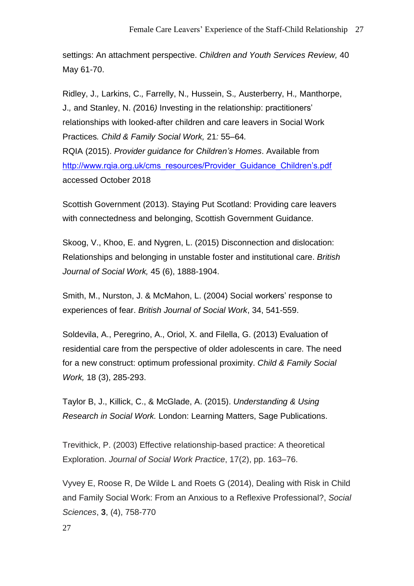settings: An attachment perspective. *Children and Youth Services Review,* 40 May 61-70.

Ridley, J.*,* Larkins, C.*,* Farrelly, N.*,* Hussein, S.*,* Austerberry, H.*,* Manthorpe, J.*,* and Stanley, N. *(*2016*)* Investing in the relationship: practitioners' relationships with looked-after children and care leavers in Social Work Practices*. Child & Family Social Work,* 21*:* 55*–*64*.* RQIA (2015). *Provider guidance for Children's Homes*. Available from [http://www.rqia.org.uk/cms\\_resources/Provider\\_Guidance\\_Children's.pdf](http://www.rqia.org.uk/cms_resources/Provider_Guidance_Children) accessed October 2018

Scottish Government (2013). Staying Put Scotland: Providing care leavers with connectedness and belonging, Scottish Government Guidance.

Skoog, V., Khoo, E. and Nygren, L. (2015) Disconnection and dislocation: Relationships and belonging in unstable foster and institutional care. *British Journal of Social Work,* 45 (6), 1888-1904.

Smith, M., Nurston, J. & McMahon, L. (2004) Social workers' response to experiences of fear. *British Journal of Social Work*, 34, 541-559.

Soldevila, A., Peregrino, A., Oriol, X. and Filella, G. (2013) Evaluation of residential care from the perspective of older adolescents in care. The need for a new construct: optimum professional proximity. *Child & Family Social Work,* 18 (3), 285-293.

Taylor B, J., Killick, C., & McGlade, A. (2015). *Understanding & Using Research in Social Work.* London: Learning Matters, Sage Publications.

Trevithick, P. (2003) Effective relationship-based practice: A theoretical Exploration. *Journal of Social Work Practice*, 17(2), pp. 163–76.

Vyvey E, Roose R, De Wilde L and Roets G (2014), Dealing with Risk in Child and Family Social Work: From an Anxious to a Reflexive Professional?, *Social Sciences*, **3**, (4), 758-770